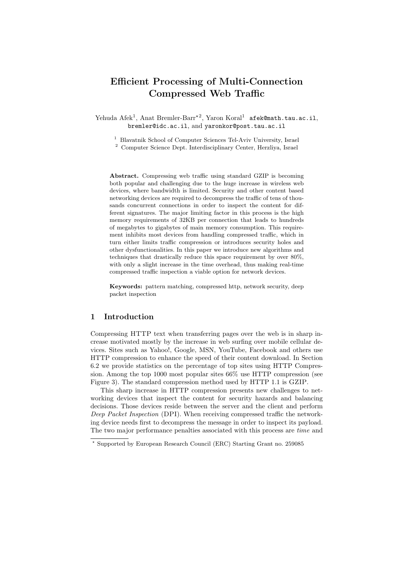# **Efficient Processing of Multi-Connection Compressed Web Traffic**

Yehuda Afek<sup>1</sup>, Anat Bremler-Barr<sup>\*2</sup>, Yaron Koral<sup>1</sup> afek@math.tau.ac.il, bremler@idc.ac.il, and yaronkor@post.tau.ac.il

<sup>1</sup> Blavatnik School of Computer Sciences Tel-Aviv University, Israel

<sup>2</sup> Computer Science Dept. Interdisciplinary Center, Herzliya, Israel

**Abstract.** Compressing web traffic using standard GZIP is becoming both popular and challenging due to the huge increase in wireless web devices, where bandwidth is limited. Security and other content based networking devices are required to decompress the traffic of tens of thousands concurrent connections in order to inspect the content for different signatures. The major limiting factor in this process is the high memory requirements of 32KB per connection that leads to hundreds of megabytes to gigabytes of main memory consumption. This requirement inhibits most devices from handling compressed traffic, which in turn either limits traffic compression or introduces security holes and other dysfunctionalities. In this paper we introduce new algorithms and techniques that drastically reduce this space requirement by over 80%, with only a slight increase in the time overhead, thus making real-time compressed traffic inspection a viable option for network devices.

**Keywords:** pattern matching, compressed http, network security, deep packet inspection

## **1 Introduction**

Compressing HTTP text when transferring pages over the web is in sharp increase motivated mostly by the increase in web surfing over mobile cellular devices. Sites such as Yahoo!, Google, MSN, YouTube, Facebook and others use HTTP compression to enhance the speed of their content download. In Section 6.2 we provide statistics on the percentage of top sites using HTTP Compression. Among the top 1000 most popular sites 66% use HTTP compression (see Figure 3). The standard compression method used by HTTP 1.1 is GZIP.

This sharp increase in HTTP compression presents new challenges to networking devices that inspect the content for security hazards and balancing decisions. Those devices reside between the server and the client and perform *Deep Packet Inspection* (DPI). When receiving compressed traffic the networking device needs first to decompress the message in order to inspect its payload. The two major performance penalties associated with this process are *time* and

*<sup>⋆</sup>* Supported by European Research Council (ERC) Starting Grant no. 259085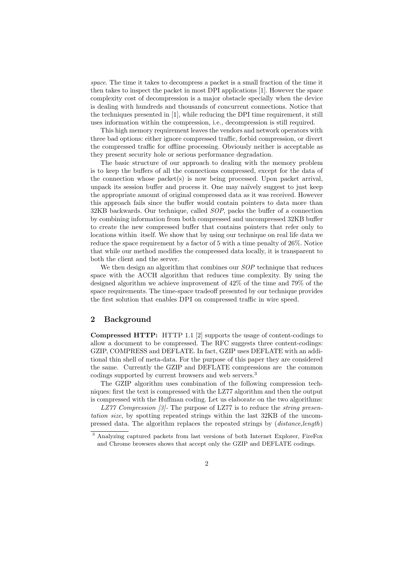*space*. The time it takes to decompress a packet is a small fraction of the time it then takes to inspect the packet in most DPI applications [1]. However the space complexity cost of decompression is a major obstacle specially when the device is dealing with hundreds and thousands of concurrent connections. Notice that the techniques presented in [1], while reducing the DPI time requirement, it still uses information within the compression, i.e., decompression is still required.

This high memory requirement leaves the vendors and network operators with three bad options: either ignore compressed traffic, forbid compression, or divert the compressed traffic for offline processing. Obviously neither is acceptable as they present security hole or serious performance degradation.

The basic structure of our approach to dealing with the memory problem is to keep the buffers of all the connections compressed, except for the data of the connection whose packet(s) is now being processed. Upon packet arrival, unpack its session buffer and process it. One may naïvely suggest to just keep the appropriate amount of original compressed data as it was received. However this approach fails since the buffer would contain pointers to data more than 32KB backwards. Our technique, called *SOP*, packs the buffer of a connection by combining information from both compressed and uncompressed 32KB buffer to create the new compressed buffer that contains pointers that refer only to locations within itself. We show that by using our technique on real life data we reduce the space requirement by a factor of 5 with a time penalty of 26%. Notice that while our method modifies the compressed data locally, it is transparent to both the client and the server.

We then design an algorithm that combines our *SOP* technique that reduces space with the ACCH algorithm that reduces time complexity. By using the designed algorithm we achieve improvement of 42% of the time and 79% of the space requirements. The time-space tradeoff presented by our technique provides the first solution that enables DPI on compressed traffic in wire speed.

# **2 Background**

**Compressed HTTP:** HTTP 1.1 [2] supports the usage of content-codings to allow a document to be compressed. The RFC suggests three content-codings: GZIP, COMPRESS and DEFLATE. In fact, GZIP uses DEFLATE with an additional thin shell of meta-data. For the purpose of this paper they are considered the same. Currently the GZIP and DEFLATE compressions are the common codings supported by current browsers and web servers.<sup>3</sup>

The GZIP algorithm uses combination of the following compression techniques: first the text is compressed with the LZ77 algorithm and then the output is compressed with the Huffman coding. Let us elaborate on the two algorithms:

*LZ77 Compression [3]-* The purpose of LZ77 is to reduce the *string presentation size*, by spotting repeated strings within the last 32KB of the uncompressed data. The algorithm replaces the repeated strings by (*distance*,*length*)

<sup>3</sup> Analyzing captured packets from last versions of both Internet Explorer, FireFox and Chrome browsers shows that accept only the GZIP and DEFLATE codings.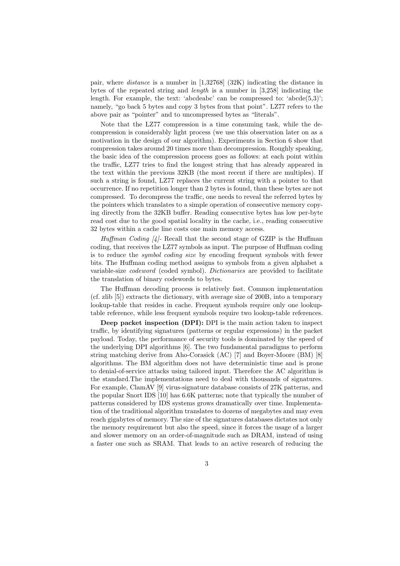pair, where *distance* is a number in [1,32768] (32K) indicating the distance in bytes of the repeated string and *length* is a number in [3,258] indicating the length. For example, the text: 'abcdeabc' can be compressed to: 'abcde(5,3)'; namely, "go back 5 bytes and copy 3 bytes from that point". LZ77 refers to the above pair as "pointer" and to uncompressed bytes as "literals".

Note that the LZ77 compression is a time consuming task, while the decompression is considerably light process (we use this observation later on as a motivation in the design of our algorithm). Experiments in Section 6 show that compression takes around 20 times more than decompression. Roughly speaking, the basic idea of the compression process goes as follows: at each point within the traffic, LZ77 tries to find the longest string that has already appeared in the text within the previous 32KB (the most recent if there are multiples). If such a string is found, LZ77 replaces the current string with a pointer to that occurrence. If no repetition longer than 2 bytes is found, than these bytes are not compressed. To decompress the traffic, one needs to reveal the referred bytes by the pointers which translates to a simple operation of consecutive memory copying directly from the 32KB buffer. Reading consecutive bytes has low per-byte read cost due to the good spatial locality in the cache, i.e., reading consecutive 32 bytes within a cache line costs one main memory access.

*Huffman Coding [4]-* Recall that the second stage of GZIP is the Huffman coding, that receives the LZ77 symbols as input. The purpose of Huffman coding is to reduce the *symbol coding size* by encoding frequent symbols with fewer bits. The Huffman coding method assigns to symbols from a given alphabet a variable-size *codeword* (coded symbol). *Dictionaries* are provided to facilitate the translation of binary codewords to bytes.

The Huffman decoding process is relatively fast. Common implementation (cf. zlib [5]) extracts the dictionary, with average size of 200B, into a temporary lookup-table that resides in cache. Frequent symbols require only one lookuptable reference, while less frequent symbols require two lookup-table references.

**Deep packet inspection (DPI):** DPI is the main action taken to inspect traffic, by identifying signatures (patterns or regular expressions) in the packet payload. Today, the performance of security tools is dominated by the speed of the underlying DPI algorithms [6]. The two fundamental paradigms to perform string matching derive from Aho-Corasick (AC) [7] and Boyer-Moore (BM) [8] algorithms. The BM algorithm does not have deterministic time and is prone to denial-of-service attacks using tailored input. Therefore the AC algorithm is the standard.The implementations need to deal with thousands of signatures. For example, ClamAV [9] virus-signature database consists of 27K patterns, and the popular Snort IDS [10] has 6.6K patterns; note that typically the number of patterns considered by IDS systems grows dramatically over time. Implementation of the traditional algorithm translates to dozens of megabytes and may even reach gigabytes of memory. The size of the signatures databases dictates not only the memory requirement but also the speed, since it forces the usage of a larger and slower memory on an order-of-magnitude such as DRAM, instead of using a faster one such as SRAM. That leads to an active research of reducing the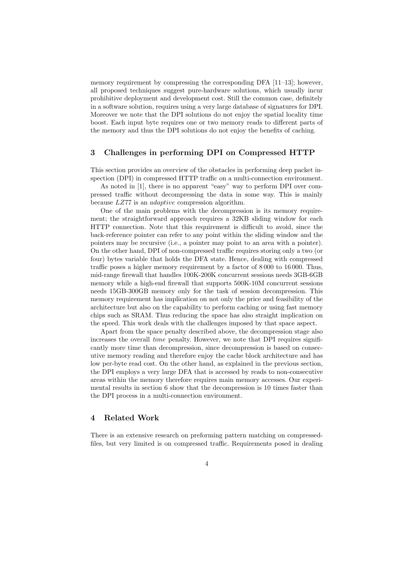memory requirement by compressing the corresponding DFA  $[11-13]$ ; however, all proposed techniques suggest pure-hardware solutions, which usually incur prohibitive deployment and development cost. Still the common case, definitely in a software solution, requires using a very large database of signatures for DPI. Moreover we note that the DPI solutions do not enjoy the spatial locality time boost. Each input byte requires one or two memory reads to different parts of the memory and thus the DPI solutions do not enjoy the benefits of caching.

## **3 Challenges in performing DPI on Compressed HTTP**

This section provides an overview of the obstacles in performing deep packet inspection (DPI) in compressed HTTP traffic on a multi-connection environment.

As noted in [1], there is no apparent "easy" way to perform DPI over compressed traffic without decompressing the data in some way. This is mainly because *LZ*77 is an *adaptive* compression algorithm.

One of the main problems with the decompression is its memory requirement; the straightforward approach requires a 32KB sliding window for each HTTP connection. Note that this requirement is difficult to avoid, since the back-reference pointer can refer to any point within the sliding window and the pointers may be recursive (i.e., a pointer may point to an area with a pointer). On the other hand, DPI of non-compressed traffic requires storing only a two (or four) bytes variable that holds the DFA state. Hence, dealing with compressed traffic poses a higher memory requirement by a factor of 8 000 to 16 000. Thus, mid-range firewall that handles 100K-200K concurrent sessions needs 3GB-6GB memory while a high-end firewall that supports 500K-10M concurrent sessions needs 15GB-300GB memory only for the task of session decompression. This memory requirement has implication on not only the price and feasibility of the architecture but also on the capability to perform caching or using fast memory chips such as SRAM. Thus reducing the space has also straight implication on the speed. This work deals with the challenges imposed by that space aspect.

Apart from the space penalty described above, the decompression stage also increases the overall *time* penalty. However, we note that DPI requires significantly more time than decompression, since decompression is based on consecutive memory reading and therefore enjoy the cache block architecture and has low per-byte read cost. On the other hand, as explained in the previous section, the DPI employs a very large DFA that is accessed by reads to non-consecutive areas within the memory therefore requires main memory accesses. Our experimental results in section 6 show that the decompression is 10 times faster than the DPI process in a multi-connection environment.

## **4 Related Work**

There is an extensive research on preforming pattern matching on compressedfiles, but very limited is on compressed traffic. Requirements posed in dealing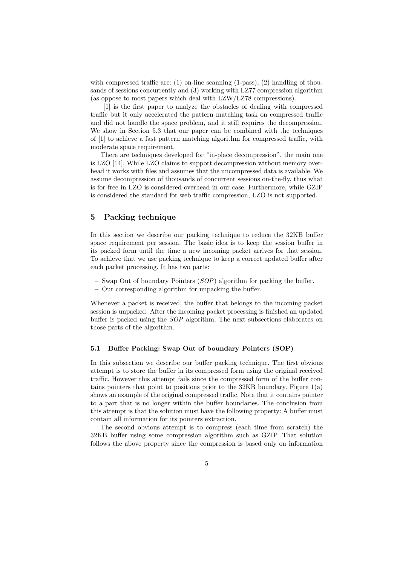with compressed traffic are: (1) on-line scanning  $(1-\text{pass})$ , (2) handling of thousands of sessions concurrently and (3) working with LZ77 compression algorithm (as oppose to most papers which deal with LZW/LZ78 compressions).

[1] is the first paper to analyze the obstacles of dealing with compressed traffic but it only accelerated the pattern matching task on compressed traffic and did not handle the space problem, and it still requires the decompression. We show in Section 5.3 that our paper can be combined with the techniques of [1] to achieve a fast pattern matching algorithm for compressed traffic, with moderate space requirement.

There are techniques developed for "in-place decompression", the main one is LZO [14]. While LZO claims to support decompression without memory overhead it works with files and assumes that the uncompressed data is available. We assume decompression of thousands of concurrent sessions on-the-fly, thus what is for free in LZO is considered overhead in our case. Furthermore, while GZIP is considered the standard for web traffic compression, LZO is not supported.

## **5 Packing technique**

In this section we describe our packing technique to reduce the 32KB buffer space requirement per session. The basic idea is to keep the session buffer in its packed form until the time a new incoming packet arrives for that session. To achieve that we use packing technique to keep a correct updated buffer after each packet processing. It has two parts:

- **–** Swap Out of boundary Pointers (*SOP*) algorithm for packing the buffer.
- **–** Our corresponding algorithm for unpacking the buffer.

Whenever a packet is received, the buffer that belongs to the incoming packet session is unpacked. After the incoming packet processing is finished an updated buffer is packed using the *SOP* algorithm. The next subsections elaborates on those parts of the algorithm.

#### **5.1 Buffer Packing: Swap Out of boundary Pointers (SOP)**

In this subsection we describe our buffer packing technique. The first obvious attempt is to store the buffer in its compressed form using the original received traffic. However this attempt fails since the compressed form of the buffer contains pointers that point to positions prior to the  $32KB$  boundary. Figure 1(a) shows an example of the original compressed traffic. Note that it contains pointer to a part that is no longer within the buffer boundaries. The conclusion from this attempt is that the solution must have the following property: A buffer must contain all information for its pointers extraction.

The second obvious attempt is to compress (each time from scratch) the 32KB buffer using some compression algorithm such as GZIP. That solution follows the above property since the compression is based only on information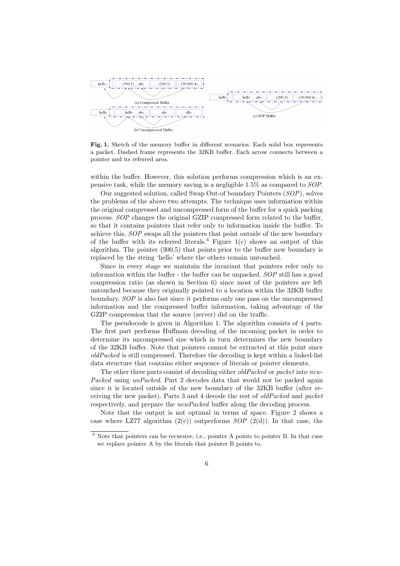

Fig. 1. Sketch of the memory buffer in different scenarios. Each solid box represents a packet. Dashed frame represents the 32KB buffer. Each arrow connects between a pointer and its referred area.

within the buffer. However, this solution performs compression which is an expensive task, while the memory saving is a negligible 1*.*5% as compared to *SOP*.

Our suggested solution, called Swap Out-of boundary Pointers (*SOP*), solves the problems of the above two attempts. The technique uses information within the original compressed and uncompressed form of the buffer for a quick packing process. *SOP* changes the original GZIP compressed form related to the buffer, so that it contains pointers that refer only to information inside the buffer. To achieve this, *SOP* swaps all the pointers that point outside of the new boundary of the buffer with its referred literals.<sup>4</sup> Figure 1(c) shows an output of this algorithm. The pointer (300,5) that points prior to the buffer new boundary is replaced by the string 'hello' where the others remain untouched.

Since in every stage we maintain the invariant that pointers refer only to information within the buffer - the buffer can be unpacked. *SOP* still has a good compression ratio (as shown in Section 6) since most of the pointers are left untouched because they originally pointed to a location within the 32KB buffer boundary. *SOP* is also fast since it performs only one pass on the uncompressed information and the compressed buffer information, taking advantage of the GZIP compression that the source (server) did on the traffic.

The pseudocode is given in Algorithm 1. The algorithm consists of 4 parts. The first part performs Huffman decoding of the incoming packet in order to determine its uncompressed size which in turn determines the new boundary of the 32KB buffer. Note that pointers cannot be extracted at this point since *oldPacked* is still compressed. Therefore the decoding is kept within a linked-list data structure that contains either sequence of literals or pointer elements.

The other three parts consist of decoding either *oldPacked* or *packet* into *new-Packed* using *unPacked*. Part 2 decodes data that would not be packed again since it is located outside of the new boundary of the 32KB buffer (after receiving the new packet). Parts 3 and 4 decode the rest of *oldPacked* and *packet* respectively, and prepare the *newPacked* buffer along the decoding process.

Note that the output is not optimal in terms of space. Figure 2 shows a case where LZ77 algorithm  $(2(c))$  outperforms *SOP*  $(2(d))$ . In that case, the

<sup>4</sup> Note that pointers can be recursive, i.e., pointer A points to pointer B. In that case we replace pointer A by the literals that pointer B points to.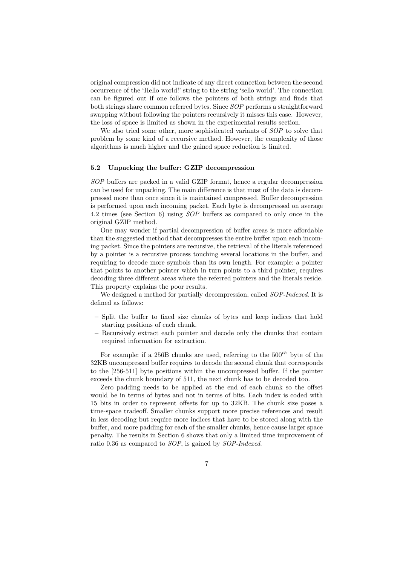original compression did not indicate of any direct connection between the second occurrence of the 'Hello world!' string to the string 'sello world'. The connection can be figured out if one follows the pointers of both strings and finds that both strings share common referred bytes. Since *SOP* performs a straightforward swapping without following the pointers recursively it misses this case. However, the loss of space is limited as shown in the experimental results section.

We also tried some other, more sophisticated variants of *SOP* to solve that problem by some kind of a recursive method. However, the complexity of those algorithms is much higher and the gained space reduction is limited.

#### **5.2 Unpacking the buffer: GZIP decompression**

*SOP* buffers are packed in a valid GZIP format, hence a regular decompression can be used for unpacking. The main difference is that most of the data is decompressed more than once since it is maintained compressed. Buffer decompression is performed upon each incoming packet. Each byte is decompressed on average 4*.*2 times (see Section 6) using *SOP* buffers as compared to only once in the original GZIP method.

One may wonder if partial decompression of buffer areas is more affordable than the suggested method that decompresses the entire buffer upon each incoming packet. Since the pointers are recursive, the retrieval of the literals referenced by a pointer is a recursive process touching several locations in the buffer, and requiring to decode more symbols than its own length. For example: a pointer that points to another pointer which in turn points to a third pointer, requires decoding three different areas where the referred pointers and the literals reside. This property explains the poor results.

We designed a method for partially decompression, called *SOP-Indexed*. It is defined as follows:

- **–** Split the buffer to fixed size chunks of bytes and keep indices that hold starting positions of each chunk.
- **–** Recursively extract each pointer and decode only the chunks that contain required information for extraction.

For example: if a 256B chunks are used, referring to the 500*th* byte of the 32KB uncompressed buffer requires to decode the second chunk that corresponds to the [256-511] byte positions within the uncompressed buffer. If the pointer exceeds the chunk boundary of 511, the next chunk has to be decoded too.

Zero padding needs to be applied at the end of each chunk so the offset would be in terms of bytes and not in terms of bits. Each index is coded with 15 bits in order to represent offsets for up to 32KB. The chunk size poses a time-space tradeoff. Smaller chunks support more precise references and result in less decoding but require more indices that have to be stored along with the buffer, and more padding for each of the smaller chunks, hence cause larger space penalty. The results in Section 6 shows that only a limited time improvement of ratio 0*.*36 as compared to *SOP*, is gained by *SOP-Indexed*.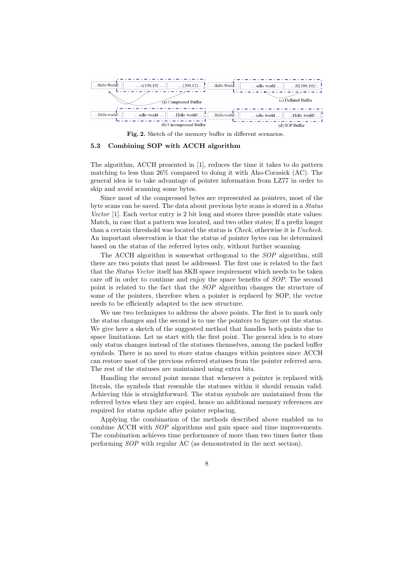

**Fig. 2.** Sketch of the memory buffer in different scenarios.

#### **5.3 Combining SOP with ACCH algorithm**

The algorithm, ACCH presented in [1], reduces the time it takes to do pattern matching to less than 26% compared to doing it with Aho-Corasick (AC). The general idea is to take advantage of pointer information from LZ77 in order to skip and avoid scanning some bytes.

Since most of the compressed bytes are represented as pointers, most of the byte scans can be saved. The data about previous byte scans is stored in a *Status Vector* [1]. Each vector entry is 2 bit long and stores three possible state values: Match, in case that a pattern was located, and two other states; If a prefix longer than a certain threshold was located the status is *Check*, otherwise it is *Uncheck*. An important observation is that the status of pointer bytes can be determined based on the status of the referred bytes only, without further scanning.

The ACCH algorithm is somewhat orthogonal to the *SOP* algorithm, still there are two points that must be addressed. The first one is related to the fact that the *Status Vector* itself has 8KB space requirement which needs to be taken care off in order to continue and enjoy the space benefits of *SOP*. The second point is related to the fact that the *SOP* algorithm changes the structure of some of the pointers, therefore when a pointer is replaced by SOP, the vector needs to be efficiently adapted to the new structure.

We use two techniques to address the above points. The first is to mark only the status changes and the second is to use the pointers to figure out the status. We give here a sketch of the suggested method that handles both points due to space limitations. Let us start with the first point. The general idea is to store only status changes instead of the statuses themselves, among the packed buffer symbols. There is no need to store status changes within pointers since ACCH can restore most of the previous referred statuses from the pointer referred area. The rest of the statuses are maintained using extra bits.

Handling the second point means that whenever a pointer is replaced with literals, the symbols that resemble the statuses within it should remain valid. Achieving this is straightforward. The status symbols are maintained from the referred bytes when they are copied, hence no additional memory references are required for status update after pointer replacing.

Applying the combination of the methods described above enabled us to combine ACCH with *SOP* algorithms and gain space and time improvements. The combination achieves time performance of more than two times faster than performing *SOP* with regular AC (as demonstrated in the next section).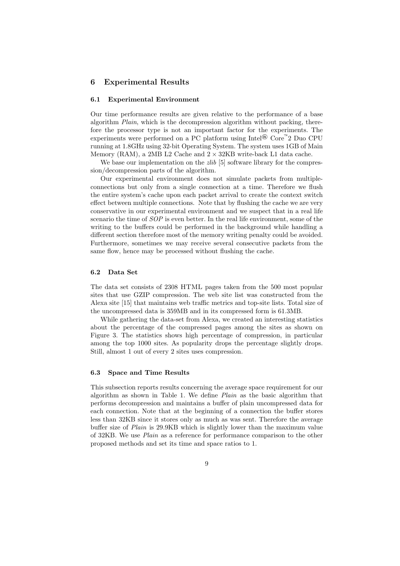## **6 Experimental Results**

#### **6.1 Experimental Environment**

Our time performance results are given relative to the performance of a base algorithm *Plain*, which is the decompression algorithm without packing, therefore the processor type is not an important factor for the experiments. The experiments were performed on a PC platform using Intel<sup>®</sup> Core<sup>™</sup>2 Duo CPU running at 1*.*8GHz using 32-bit Operating System. The system uses 1GB of Main Memory (RAM), a 2MB L2 Cache and 2 *×* 32KB write-back L1 data cache.

We base our implementation on the *zlib* [5] software library for the compression/decompression parts of the algorithm.

Our experimental environment does not simulate packets from multipleconnections but only from a single connection at a time. Therefore we flush the entire system's cache upon each packet arrival to create the context switch effect between multiple connections. Note that by flushing the cache we are very conservative in our experimental environment and we suspect that in a real life scenario the time of *SOP* is even better. In the real life environment, some of the writing to the buffers could be performed in the background while handling a different section therefore most of the memory writing penalty could be avoided. Furthermore, sometimes we may receive several consecutive packets from the same flow, hence may be processed without flushing the cache.

#### **6.2 Data Set**

The data set consists of 2308 HTML pages taken from the 500 most popular sites that use GZIP compression. The web site list was constructed from the Alexa site [15] that maintains web traffic metrics and top-site lists. Total size of the uncompressed data is 359MB and in its compressed form is 61*.*3MB.

While gathering the data-set from Alexa, we created an interesting statistics about the percentage of the compressed pages among the sites as shown on Figure 3. The statistics shows high percentage of compression, in particular among the top 1000 sites. As popularity drops the percentage slightly drops. Still, almost 1 out of every 2 sites uses compression.

#### **6.3 Space and Time Results**

This subsection reports results concerning the average space requirement for our algorithm as shown in Table 1. We define *Plain* as the basic algorithm that performs decompression and maintains a buffer of plain uncompressed data for each connection. Note that at the beginning of a connection the buffer stores less than 32KB since it stores only as much as was sent. Therefore the average buffer size of *Plain* is 29*.*9KB which is slightly lower than the maximum value of 32KB. We use *Plain* as a reference for performance comparison to the other proposed methods and set its time and space ratios to 1.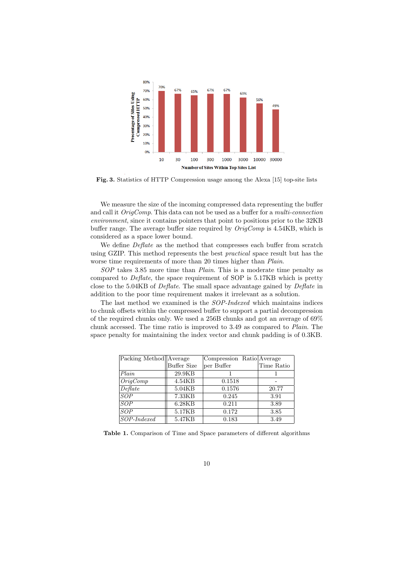

**Fig. 3.** Statistics of HTTP Compression usage among the Alexa [15] top-site lists

We measure the size of the incoming compressed data representing the buffer and call it *OrigComp*. This data can not be used as a buffer for a *multi-connection environment*, since it contains pointers that point to positions prior to the 32KB buffer range. The average buffer size required by *OrigComp* is 4*.*54KB, which is considered as a space lower bound.

We define *Deflate* as the method that compresses each buffer from scratch using GZIP. This method represents the best *practical* space result but has the worse time requirements of more than 20 times higher than *Plain*.

*SOP* takes 3*.*85 more time than *Plain*. This is a moderate time penalty as compared to *Deflate*, the space requirement of SOP is 5*.*17KB which is pretty close to the 5*.*04KB of *Deflate*. The small space advantage gained by *Deflate* in addition to the poor time requirement makes it irrelevant as a solution.

The last method we examined is the *SOP-Indexed* which maintains indices to chunk offsets within the compressed buffer to support a partial decompression of the required chunks only. We used a 256B chunks and got an average of 69% chunk accessed. The time ratio is improved to 3*.*49 as compared to *Plain*. The space penalty for maintaining the index vector and chunk padding is of 0*.*3KB.

| Packing Method Average |                    | Compression Ratio Average |            |
|------------------------|--------------------|---------------------------|------------|
|                        | <b>Buffer Size</b> | per Buffer                | Time Ratio |
| Plain                  | 29.9KB             |                           |            |
| OrigComp               | 4.54KB             | 0.1518                    |            |
| Define                 | 5.04KB             | 0.1576                    | 20.77      |
| SOP                    | 7.33KB             | 0.245                     | 3.91       |
| SOP                    | 6.28KB             | 0.211                     | 3.89       |
| SOP                    | 5.17KB             | 0.172                     | 3.85       |
| $SOP$ -Indexed         | 5.47KB             | 0.183                     | 3.49       |

**Table 1.** Comparison of Time and Space parameters of different algorithms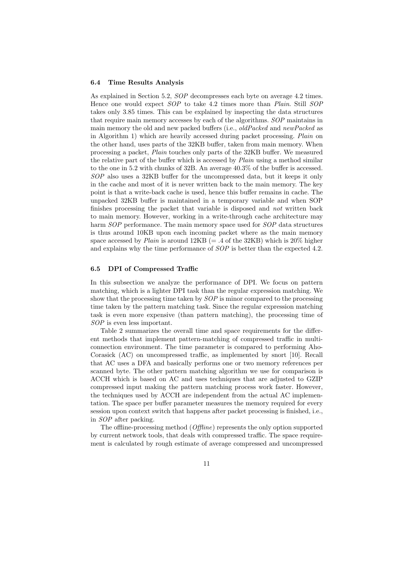#### **6.4 Time Results Analysis**

As explained in Section 5.2, *SOP* decompresses each byte on average 4*.*2 times. Hence one would expect *SOP* to take 4*.*2 times more than *Plain*. Still *SOP* takes only 3*.*85 times. This can be explained by inspecting the data structures that require main memory accesses by each of the algorithms. *SOP* maintains in main memory the old and new packed buffers (i.e., *oldPacked* and *newPacked* as in Algorithm 1) which are heavily accessed during packet processing. *Plain* on the other hand, uses parts of the 32KB buffer, taken from main memory. When processing a packet, *Plain* touches only parts of the 32KB buffer. We measured the relative part of the buffer which is accessed by *Plain* using a method similar to the one in 5.2 with chunks of 32B. An average 40*.*3% of the buffer is accessed. *SOP* also uses a 32KB buffer for the uncompressed data, but it keeps it only in the cache and most of it is never written back to the main memory. The key point is that a write-back cache is used, hence this buffer remains in cache. The unpacked 32KB buffer is maintained in a temporary variable and when SOP finishes processing the packet that variable is disposed and *not* written back to main memory. However, working in a write-through cache architecture may harm *SOP* performance. The main memory space used for *SOP* data structures is thus around 10KB upon each incoming packet where as the main memory space accessed by *Plain* is around  $12KB (= .4$  of the  $32KB)$  which is  $20\%$  higher and explains why the time performance of *SOP* is better than the expected 4*.*2.

### **6.5 DPI of Compressed Traffic**

In this subsection we analyze the performance of DPI. We focus on pattern matching, which is a lighter DPI task than the regular expression matching. We show that the processing time taken by *SOP* is minor compared to the processing time taken by the pattern matching task. Since the regular expression matching task is even more expensive (than pattern matching), the processing time of *SOP* is even less important.

Table 2 summarizes the overall time and space requirements for the different methods that implement pattern-matching of compressed traffic in multiconnection environment. The time parameter is compared to performing Aho-Corasick (AC) on uncompressed traffic, as implemented by snort [10]. Recall that AC uses a DFA and basically performs one or two memory references per scanned byte. The other pattern matching algorithm we use for comparison is ACCH which is based on AC and uses techniques that are adjusted to GZIP compressed input making the pattern matching process work faster. However, the techniques used by ACCH are independent from the actual AC implementation. The space per buffer parameter measures the memory required for every session upon context switch that happens after packet processing is finished, i.e., in *SOP* after packing.

The offline-processing method (*Offline*) represents the only option supported by current network tools, that deals with compressed traffic. The space requirement is calculated by rough estimate of average compressed and uncompressed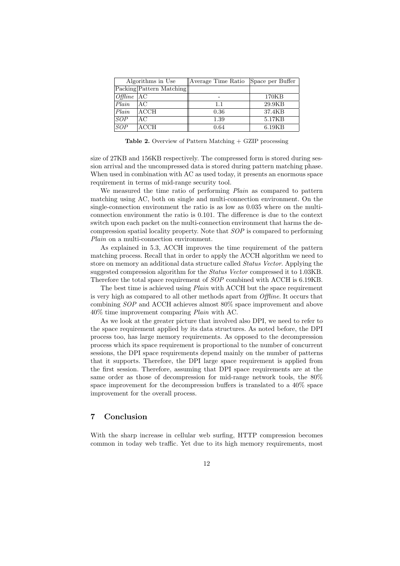| Algorithms in Use        | Average Time Ratio | Space per Buffer   |
|--------------------------|--------------------|--------------------|
| Packing Pattern Matching |                    |                    |
| $Of$ <i>AC</i>           |                    | 170KB              |
| AC<br>Plain              | 11                 | 29.9 <sub>KB</sub> |
| <b>ACCH</b><br>Plain     | 0.36               | 37.4KB             |
| SOP<br>AC                | 1.39               | 5.17KB             |
| SOP<br>ACCH              | 0.64               | 6.19KB             |

**Table 2.** Overview of Pattern Matching + GZIP processing

size of 27KB and 156KB respectively. The compressed form is stored during session arrival and the uncompressed data is stored during pattern matching phase. When used in combination with AC as used today, it presents an enormous space requirement in terms of mid-range security tool.

We measured the time ratio of performing *Plain* as compared to pattern matching using AC, both on single and multi-connection environment. On the single-connection environment the ratio is as low as 0*.*035 where on the multiconnection environment the ratio is 0*.*101. The difference is due to the context switch upon each packet on the multi-connection environment that harms the decompression spatial locality property. Note that *SOP* is compared to performing *Plain* on a multi-connection environment.

As explained in 5.3, ACCH improves the time requirement of the pattern matching process. Recall that in order to apply the ACCH algorithm we need to store on memory an additional data structure called *Status Vector*. Applying the suggested compression algorithm for the *Status Vector* compressed it to 1*.*03KB. Therefore the total space requirement of *SOP* combined with ACCH is 6*.*19KB.

The best time is achieved using *Plain* with ACCH but the space requirement is very high as compared to all other methods apart from *Offline*. It occurs that combining *SOP* and ACCH achieves almost 80% space improvement and above 40% time improvement comparing *Plain* with AC.

As we look at the greater picture that involved also DPI, we need to refer to the space requirement applied by its data structures. As noted before, the DPI process too, has large memory requirements. As opposed to the decompression process which its space requirement is proportional to the number of concurrent sessions, the DPI space requirements depend mainly on the number of patterns that it supports. Therefore, the DPI large space requirement is applied from the first session. Therefore, assuming that DPI space requirements are at the same order as those of decompression for mid-range network tools, the 80% space improvement for the decompression buffers is translated to a 40% space improvement for the overall process.

# **7 Conclusion**

With the sharp increase in cellular web surfing, HTTP compression becomes common in today web traffic. Yet due to its high memory requirements, most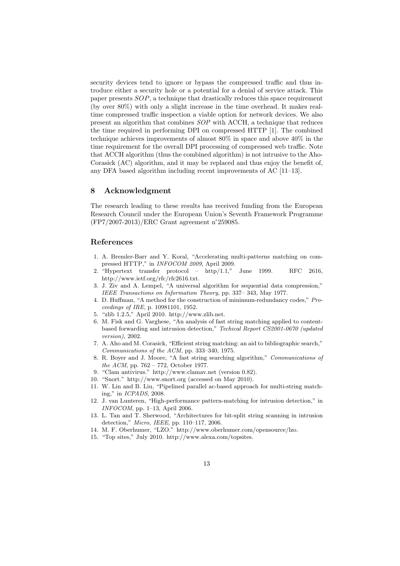security devices tend to ignore or bypass the compressed traffic and thus introduce either a security hole or a potential for a denial of service attack. This paper presents *SOP*, a technique that drastically reduces this space requirement (by over 80%) with only a slight increase in the time overhead. It makes realtime compressed traffic inspection a viable option for network devices. We also present an algorithm that combines *SOP* with ACCH, a technique that reduces the time required in performing DPI on compressed HTTP [1]. The combined technique achieves improvements of almost 80% in space and above 40% in the time requirement for the overall DPI processing of compressed web traffic. Note that ACCH algorithm (thus the combined algorithm) is not intrusive to the Aho-Corasick (AC) algorithm, and it may be replaced and thus enjoy the benefit of, any DFA based algorithm including recent improvements of AC [11–13].

## **8 Acknowledgment**

The research leading to these results has received funding from the European (FP7/2007-2013)/ERC Grant agreement n°259085. Research Council under the European Union's Seventh Framework Programme

## **References**

- 1. A. Bremler-Barr and Y. Koral, "Accelerating multi-patterns matching on compressed HTTP," in *INFOCOM 2009*, April 2009.
- 2. "Hypertext transfer protocol http/1.1," June 1999. RFC 2616, http://www.ietf.org/rfc/rfc2616.txt.
- 3. J. Ziv and A. Lempel, "A universal algorithm for sequential data compression," *IEEE Transactions on Information Theory*, pp. 337– 343, May 1977.
- 4. D. Huffman, "A method for the construction of minimum-redundancy codes," *Proceedings of IRE*, p. 10981101, 1952.
- 5. "zlib 1.2.5," April 2010. http://www.zlib.net.
- 6. M. Fisk and G. Varghese, "An analysis of fast string matching applied to contentbased forwarding and intrusion detection," *Techical Report CS2001-0670 (updated version)*, 2002.
- 7. A. Aho and M. Corasick, "Efficient string matching: an aid to bibliographic search," *Communications of the ACM*, pp. 333–340, 1975.
- 8. R. Boyer and J. Moore, "A fast string searching algorithm," *Communications of the ACM*, pp. 762 – 772, October 1977.
- 9. "Clam antivirus." http://www.clamav.net (version 0.82).
- 10. "Snort." http://www.snort.org (accessed on May 2010).
- 11. W. Lin and B. Liu, "Pipelined parallel ac-based approach for multi-string matching," in *ICPADS*, 2008.
- 12. J. van Lunteren, "High-performance pattern-matching for intrusion detection," in *INFOCOM*, pp. 1–13, April 2006.
- 13. L. Tan and T. Sherwood, "Architectures for bit-split string scanning in intrusion detection," *Micro, IEEE*, pp. 110–117, 2006.
- 14. M. F. Oberhumer, "LZO." http://www.oberhumer.com/opensource/lzo.
- 15. "Top sites," July 2010. http://www.alexa.com/topsites.